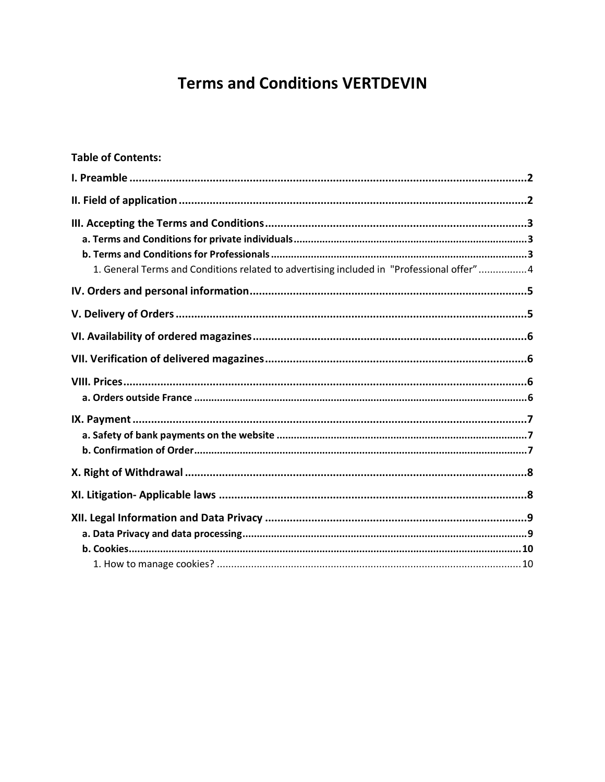# **Terms and Conditions VERTDEVIN**

| <b>Table of Contents:</b>                                                                |  |
|------------------------------------------------------------------------------------------|--|
|                                                                                          |  |
|                                                                                          |  |
|                                                                                          |  |
|                                                                                          |  |
|                                                                                          |  |
| 1. General Terms and Conditions related to advertising included in "Professional offer"4 |  |
|                                                                                          |  |
|                                                                                          |  |
|                                                                                          |  |
|                                                                                          |  |
|                                                                                          |  |
|                                                                                          |  |
|                                                                                          |  |
|                                                                                          |  |
|                                                                                          |  |
|                                                                                          |  |
|                                                                                          |  |
|                                                                                          |  |
|                                                                                          |  |
|                                                                                          |  |
|                                                                                          |  |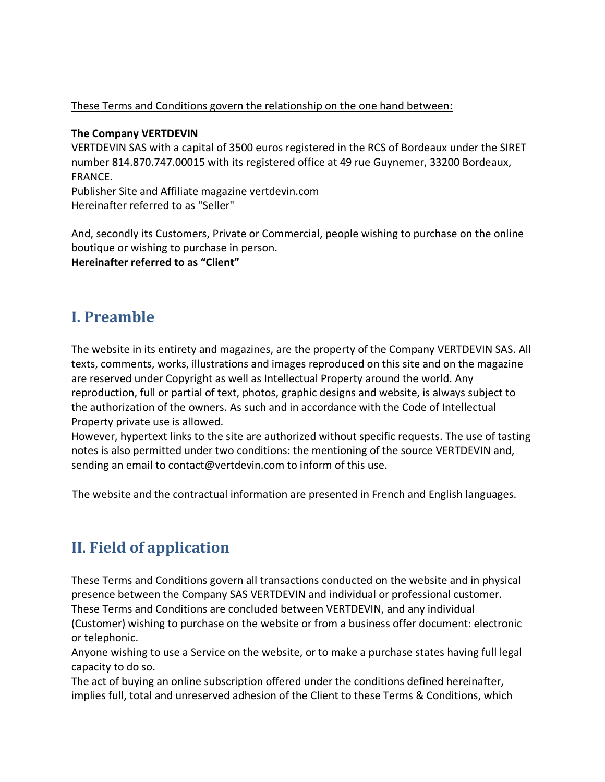#### These Terms and Conditions govern the relationship on the one hand between:

#### **The Company VERTDEVIN**

VERTDEVIN SAS with a capital of 3500 euros registered in the RCS of Bordeaux under the SIRET number 814.870.747.00015 with its registered office at 49 rue Guynemer, 33200 Bordeaux, FRANCE.

Publisher Site and Affiliate magazine vertdevin.com Hereinafter referred to as "Seller"

And, secondly its Customers, Private or Commercial, people wishing to purchase on the online boutique or wishing to purchase in person. **Hereinafter referred to as "Client"**

## **I. Preamble**

The website in its entirety and magazines, are the property of the Company VERTDEVIN SAS. All texts, comments, works, illustrations and images reproduced on this site and on the magazine are reserved under Copyright as well as Intellectual Property around the world. Any reproduction, full or partial of text, photos, graphic designs and website, is always subject to the authorization of the owners. As such and in accordance with the Code of Intellectual Property private use is allowed.

However, hypertext links to the site are authorized without specific requests. The use of tasting notes is also permitted under two conditions: the mentioning of the source VERTDEVIN and, sending an email to contact@vertdevin.com to inform of this use.

The website and the contractual information are presented in French and English languages.

# **II. Field of application**

These Terms and Conditions govern all transactions conducted on the website and in physical presence between the Company SAS VERTDEVIN and individual or professional customer. These Terms and Conditions are concluded between VERTDEVIN, and any individual

(Customer) wishing to purchase on the website or from a business offer document: electronic or telephonic.

Anyone wishing to use a Service on the website, or to make a purchase states having full legal capacity to do so.

The act of buying an online subscription offered under the conditions defined hereinafter, implies full, total and unreserved adhesion of the Client to these Terms & Conditions, which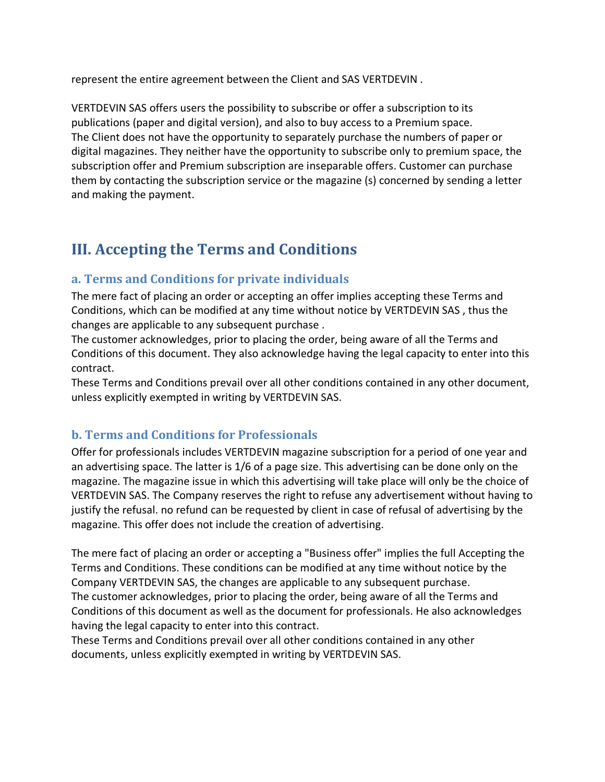represent the entire agreement between the Client and SAS VERTDEVIN .

VERTDEVIN SAS offers users the possibility to subscribe or offer a subscription to its publications (paper and digital version), and also to buy access to a Premium space. The Client does not have the opportunity to separately purchase the numbers of paper or digital magazines. They neither have the opportunity to subscribe only to premium space, the subscription offer and Premium subscription are inseparable offers. Customer can purchase them by contacting the subscription service or the magazine (s) concerned by sending a letter and making the payment.

## **III. Accepting the Terms and Conditions**

### **a. Terms and Conditions for private individuals**

The mere fact of placing an order or accepting an offer implies accepting these Terms and Conditions, which can be modified at any time without notice by VERTDEVIN SAS , thus the changes are applicable to any subsequent purchase .

The customer acknowledges, prior to placing the order, being aware of all the Terms and Conditions of this document. They also acknowledge having the legal capacity to enter into this contract.

These Terms and Conditions prevail over all other conditions contained in any other document, unless explicitly exempted in writing by VERTDEVIN SAS.

### **b. Terms and Conditions for Professionals**

Offer for professionals includes VERTDEVIN magazine subscription for a period of one year and an advertising space. The latter is 1/6 of a page size. This advertising can be done only on the magazine. The magazine issue in which this advertising will take place will only be the choice of VERTDEVIN SAS. The Company reserves the right to refuse any advertisement without having to justify the refusal. no refund can be requested by client in case of refusal of advertising by the magazine. This offer does not include the creation of advertising.

The mere fact of placing an order or accepting a "Business offer" implies the full Accepting the Terms and Conditions. These conditions can be modified at any time without notice by the Company VERTDEVIN SAS, the changes are applicable to any subsequent purchase. The customer acknowledges, prior to placing the order, being aware of all the Terms and Conditions of this document as well as the document for professionals. He also acknowledges having the legal capacity to enter into this contract.

These Terms and Conditions prevail over all other conditions contained in any other documents, unless explicitly exempted in writing by VERTDEVIN SAS.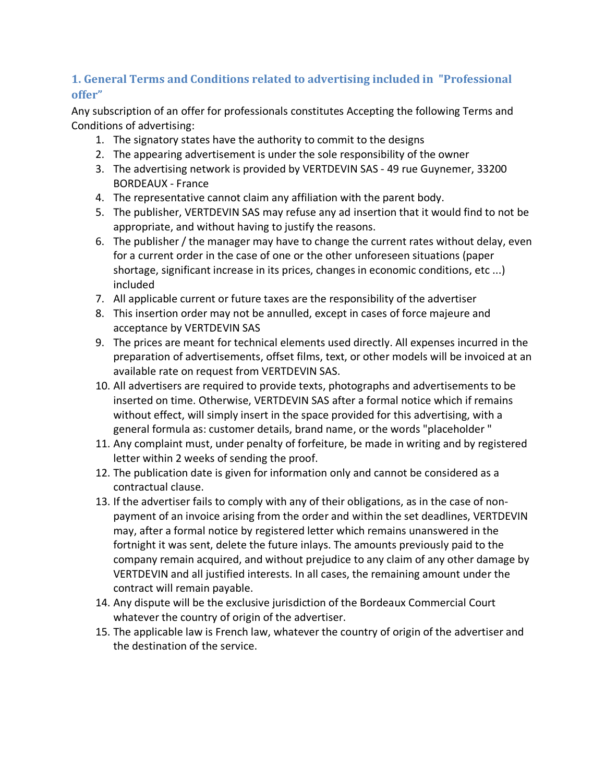### **1. General Terms and Conditions related to advertising included in "Professional offer"**

Any subscription of an offer for professionals constitutes Accepting the following Terms and Conditions of advertising:

- 1. The signatory states have the authority to commit to the designs
- 2. The appearing advertisement is under the sole responsibility of the owner
- 3. The advertising network is provided by VERTDEVIN SAS 49 rue Guynemer, 33200 BORDEAUX - France
- 4. The representative cannot claim any affiliation with the parent body.
- 5. The publisher, VERTDEVIN SAS may refuse any ad insertion that it would find to not be appropriate, and without having to justify the reasons.
- 6. The publisher / the manager may have to change the current rates without delay, even for a current order in the case of one or the other unforeseen situations (paper shortage, significant increase in its prices, changes in economic conditions, etc ...) included
- 7. All applicable current or future taxes are the responsibility of the advertiser
- 8. This insertion order may not be annulled, except in cases of force majeure and acceptance by VERTDEVIN SAS
- 9. The prices are meant for technical elements used directly. All expenses incurred in the preparation of advertisements, offset films, text, or other models will be invoiced at an available rate on request from VERTDEVIN SAS.
- 10. All advertisers are required to provide texts, photographs and advertisements to be inserted on time. Otherwise, VERTDEVIN SAS after a formal notice which if remains without effect, will simply insert in the space provided for this advertising, with a general formula as: customer details, brand name, or the words "placeholder "
- 11. Any complaint must, under penalty of forfeiture, be made in writing and by registered letter within 2 weeks of sending the proof.
- 12. The publication date is given for information only and cannot be considered as a contractual clause.
- 13. If the advertiser fails to comply with any of their obligations, as in the case of nonpayment of an invoice arising from the order and within the set deadlines, VERTDEVIN may, after a formal notice by registered letter which remains unanswered in the fortnight it was sent, delete the future inlays. The amounts previously paid to the company remain acquired, and without prejudice to any claim of any other damage by VERTDEVIN and all justified interests. In all cases, the remaining amount under the contract will remain payable.
- 14. Any dispute will be the exclusive jurisdiction of the Bordeaux Commercial Court whatever the country of origin of the advertiser.
- 15. The applicable law is French law, whatever the country of origin of the advertiser and the destination of the service.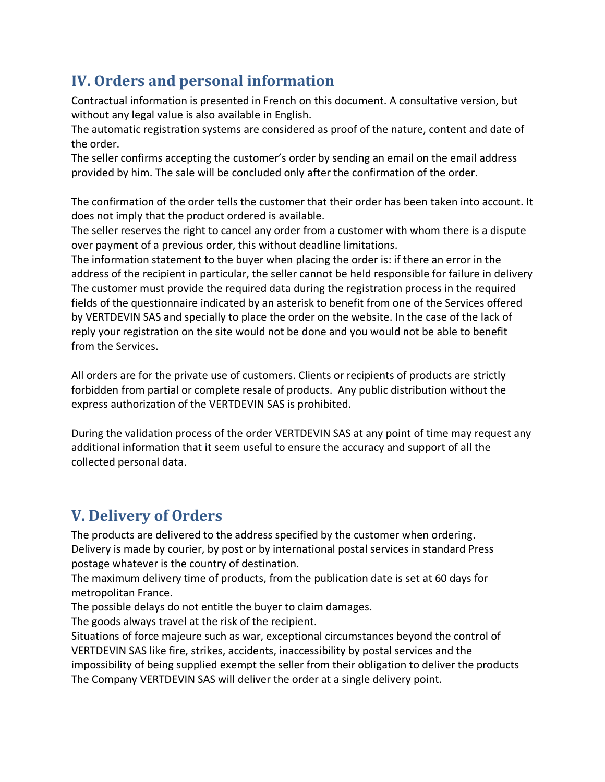# **IV. Orders and personal information**

Contractual information is presented in French on this document. A consultative version, but without any legal value is also available in English.

The automatic registration systems are considered as proof of the nature, content and date of the order.

The seller confirms accepting the customer's order by sending an email on the email address provided by him. The sale will be concluded only after the confirmation of the order.

The confirmation of the order tells the customer that their order has been taken into account. It does not imply that the product ordered is available.

The seller reserves the right to cancel any order from a customer with whom there is a dispute over payment of a previous order, this without deadline limitations.

The information statement to the buyer when placing the order is: if there an error in the address of the recipient in particular, the seller cannot be held responsible for failure in delivery The customer must provide the required data during the registration process in the required fields of the questionnaire indicated by an asterisk to benefit from one of the Services offered by VERTDEVIN SAS and specially to place the order on the website. In the case of the lack of reply your registration on the site would not be done and you would not be able to benefit from the Services.

All orders are for the private use of customers. Clients or recipients of products are strictly forbidden from partial or complete resale of products. Any public distribution without the express authorization of the VERTDEVIN SAS is prohibited.

During the validation process of the order VERTDEVIN SAS at any point of time may request any additional information that it seem useful to ensure the accuracy and support of all the collected personal data.

## **V. Delivery of Orders**

The products are delivered to the address specified by the customer when ordering. Delivery is made by courier, by post or by international postal services in standard Press postage whatever is the country of destination.

The maximum delivery time of products, from the publication date is set at 60 days for metropolitan France.

The possible delays do not entitle the buyer to claim damages.

The goods always travel at the risk of the recipient.

Situations of force majeure such as war, exceptional circumstances beyond the control of VERTDEVIN SAS like fire, strikes, accidents, inaccessibility by postal services and the impossibility of being supplied exempt the seller from their obligation to deliver the products The Company VERTDEVIN SAS will deliver the order at a single delivery point.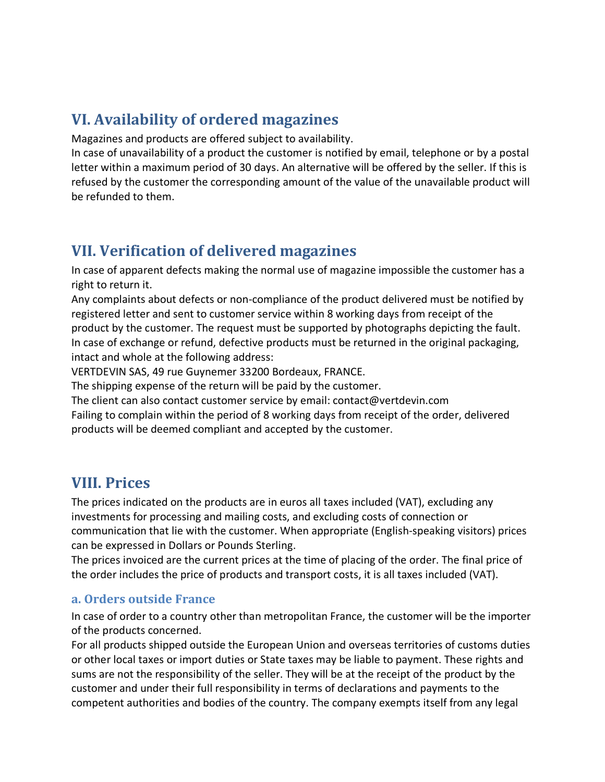## **VI. Availability of ordered magazines**

Magazines and products are offered subject to availability.

In case of unavailability of a product the customer is notified by email, telephone or by a postal letter within a maximum period of 30 days. An alternative will be offered by the seller. If this is refused by the customer the corresponding amount of the value of the unavailable product will be refunded to them.

## **VII. Verification of delivered magazines**

In case of apparent defects making the normal use of magazine impossible the customer has a right to return it.

Any complaints about defects or non-compliance of the product delivered must be notified by registered letter and sent to customer service within 8 working days from receipt of the product by the customer. The request must be supported by photographs depicting the fault. In case of exchange or refund, defective products must be returned in the original packaging, intact and whole at the following address:

VERTDEVIN SAS, 49 rue Guynemer 33200 Bordeaux, FRANCE.

The shipping expense of the return will be paid by the customer.

The client can also contact customer service by email: contact@vertdevin.com Failing to complain within the period of 8 working days from receipt of the order, delivered products will be deemed compliant and accepted by the customer.

## **VIII. Prices**

The prices indicated on the products are in euros all taxes included (VAT), excluding any investments for processing and mailing costs, and excluding costs of connection or communication that lie with the customer. When appropriate (English-speaking visitors) prices can be expressed in Dollars or Pounds Sterling.

The prices invoiced are the current prices at the time of placing of the order. The final price of the order includes the price of products and transport costs, it is all taxes included (VAT).

### **a. Orders outside France**

In case of order to a country other than metropolitan France, the customer will be the importer of the products concerned.

For all products shipped outside the European Union and overseas territories of customs duties or other local taxes or import duties or State taxes may be liable to payment. These rights and sums are not the responsibility of the seller. They will be at the receipt of the product by the customer and under their full responsibility in terms of declarations and payments to the competent authorities and bodies of the country. The company exempts itself from any legal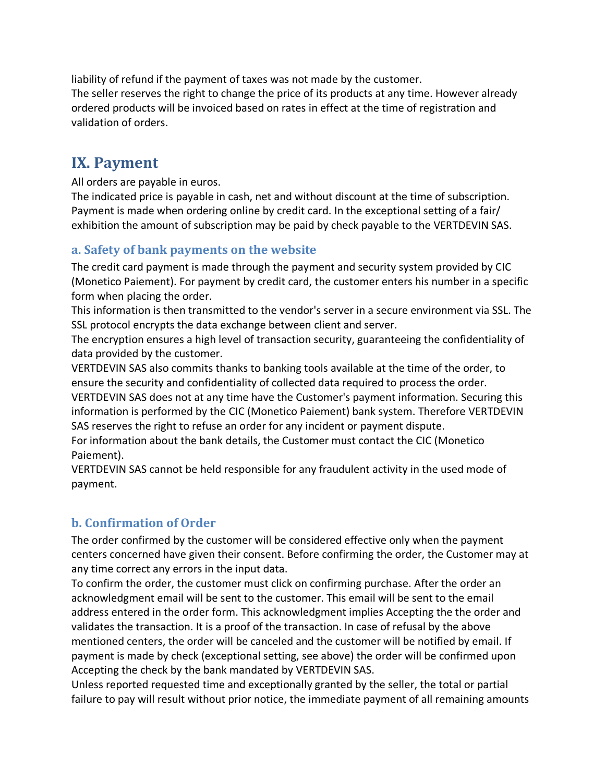liability of refund if the payment of taxes was not made by the customer. The seller reserves the right to change the price of its products at any time. However already ordered products will be invoiced based on rates in effect at the time of registration and validation of orders.

## **IX.** Payment

All orders are payable in euros.

The indicated price is payable in cash, net and without discount at the time of subscription. Payment is made when ordering online by credit card. In the exceptional setting of a fair/ exhibition the amount of subscription may be paid by check payable to the VERTDEVIN SAS.

### **a. Safety of bank payments on the website**

The credit card payment is made through the payment and security system provided by CIC (Monetico Paiement). For payment by credit card, the customer enters his number in a specific form when placing the order.

This information is then transmitted to the vendor's server in a secure environment via SSL. The SSL protocol encrypts the data exchange between client and server.

The encryption ensures a high level of transaction security, guaranteeing the confidentiality of data provided by the customer.

VERTDEVIN SAS also commits thanks to banking tools available at the time of the order, to ensure the security and confidentiality of collected data required to process the order.

VERTDEVIN SAS does not at any time have the Customer's payment information. Securing this information is performed by the CIC (Monetico Paiement) bank system. Therefore VERTDEVIN SAS reserves the right to refuse an order for any incident or payment dispute.

For information about the bank details, the Customer must contact the CIC (Monetico Paiement).

VERTDEVIN SAS cannot be held responsible for any fraudulent activity in the used mode of payment.

### **b. Confirmation of Order**

The order confirmed by the customer will be considered effective only when the payment centers concerned have given their consent. Before confirming the order, the Customer may at any time correct any errors in the input data.

To confirm the order, the customer must click on confirming purchase. After the order an acknowledgment email will be sent to the customer. This email will be sent to the email address entered in the order form. This acknowledgment implies Accepting the the order and validates the transaction. It is a proof of the transaction. In case of refusal by the above mentioned centers, the order will be canceled and the customer will be notified by email. If payment is made by check (exceptional setting, see above) the order will be confirmed upon Accepting the check by the bank mandated by VERTDEVIN SAS.

Unless reported requested time and exceptionally granted by the seller, the total or partial failure to pay will result without prior notice, the immediate payment of all remaining amounts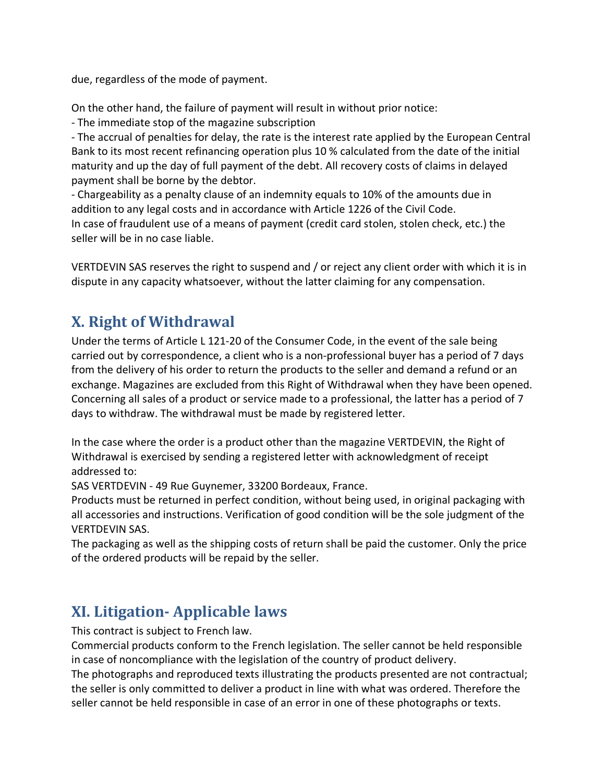due, regardless of the mode of payment.

On the other hand, the failure of payment will result in without prior notice:

- The immediate stop of the magazine subscription

- The accrual of penalties for delay, the rate is the interest rate applied by the European Central Bank to its most recent refinancing operation plus 10 % calculated from the date of the initial maturity and up the day of full payment of the debt. All recovery costs of claims in delayed payment shall be borne by the debtor.

- Chargeability as a penalty clause of an indemnity equals to 10% of the amounts due in addition to any legal costs and in accordance with Article 1226 of the Civil Code. In case of fraudulent use of a means of payment (credit card stolen, stolen check, etc.) the seller will be in no case liable.

VERTDEVIN SAS reserves the right to suspend and / or reject any client order with which it is in dispute in any capacity whatsoever, without the latter claiming for any compensation.

## **X. Right of Withdrawal**

Under the terms of Article L 121-20 of the Consumer Code, in the event of the sale being carried out by correspondence, a client who is a non-professional buyer has a period of 7 days from the delivery of his order to return the products to the seller and demand a refund or an exchange. Magazines are excluded from this Right of Withdrawal when they have been opened. Concerning all sales of a product or service made to a professional, the latter has a period of 7 days to withdraw. The withdrawal must be made by registered letter.

In the case where the order is a product other than the magazine VERTDEVIN, the Right of Withdrawal is exercised by sending a registered letter with acknowledgment of receipt addressed to:

SAS VERTDEVIN - 49 Rue Guynemer, 33200 Bordeaux, France.

Products must be returned in perfect condition, without being used, in original packaging with all accessories and instructions. Verification of good condition will be the sole judgment of the VERTDEVIN SAS.

The packaging as well as the shipping costs of return shall be paid the customer. Only the price of the ordered products will be repaid by the seller.

## **XI. Litigation- Applicable laws**

This contract is subject to French law.

Commercial products conform to the French legislation. The seller cannot be held responsible in case of noncompliance with the legislation of the country of product delivery.

The photographs and reproduced texts illustrating the products presented are not contractual; the seller is only committed to deliver a product in line with what was ordered. Therefore the seller cannot be held responsible in case of an error in one of these photographs or texts.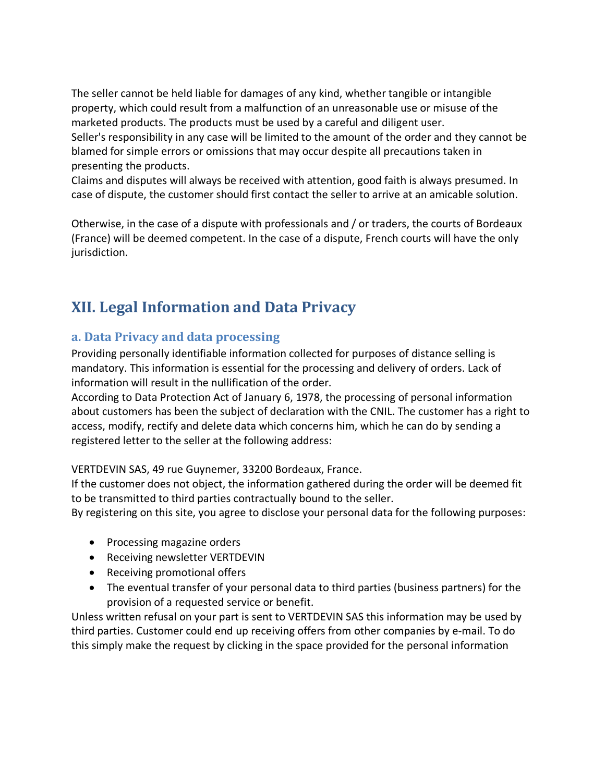The seller cannot be held liable for damages of any kind, whether tangible or intangible property, which could result from a malfunction of an unreasonable use or misuse of the marketed products. The products must be used by a careful and diligent user. Seller's responsibility in any case will be limited to the amount of the order and they cannot be blamed for simple errors or omissions that may occur despite all precautions taken in presenting the products.

Claims and disputes will always be received with attention, good faith is always presumed. In case of dispute, the customer should first contact the seller to arrive at an amicable solution.

Otherwise, in the case of a dispute with professionals and / or traders, the courts of Bordeaux (France) will be deemed competent. In the case of a dispute, French courts will have the only jurisdiction.

## **XII. Legal Information and Data Privacy**

### **a. Data Privacy and data processing**

Providing personally identifiable information collected for purposes of distance selling is mandatory. This information is essential for the processing and delivery of orders. Lack of information will result in the nullification of the order.

According to Data Protection Act of January 6, 1978, the processing of personal information about customers has been the subject of declaration with the CNIL. The customer has a right to access, modify, rectify and delete data which concerns him, which he can do by sending a registered letter to the seller at the following address:

VERTDEVIN SAS, 49 rue Guynemer, 33200 Bordeaux, France.

If the customer does not object, the information gathered during the order will be deemed fit to be transmitted to third parties contractually bound to the seller.

By registering on this site, you agree to disclose your personal data for the following purposes:

- Processing magazine orders
- Receiving newsletter VERTDEVIN
- Receiving promotional offers
- The eventual transfer of your personal data to third parties (business partners) for the provision of a requested service or benefit.

Unless written refusal on your part is sent to VERTDEVIN SAS this information may be used by third parties. Customer could end up receiving offers from other companies by e-mail. To do this simply make the request by clicking in the space provided for the personal information